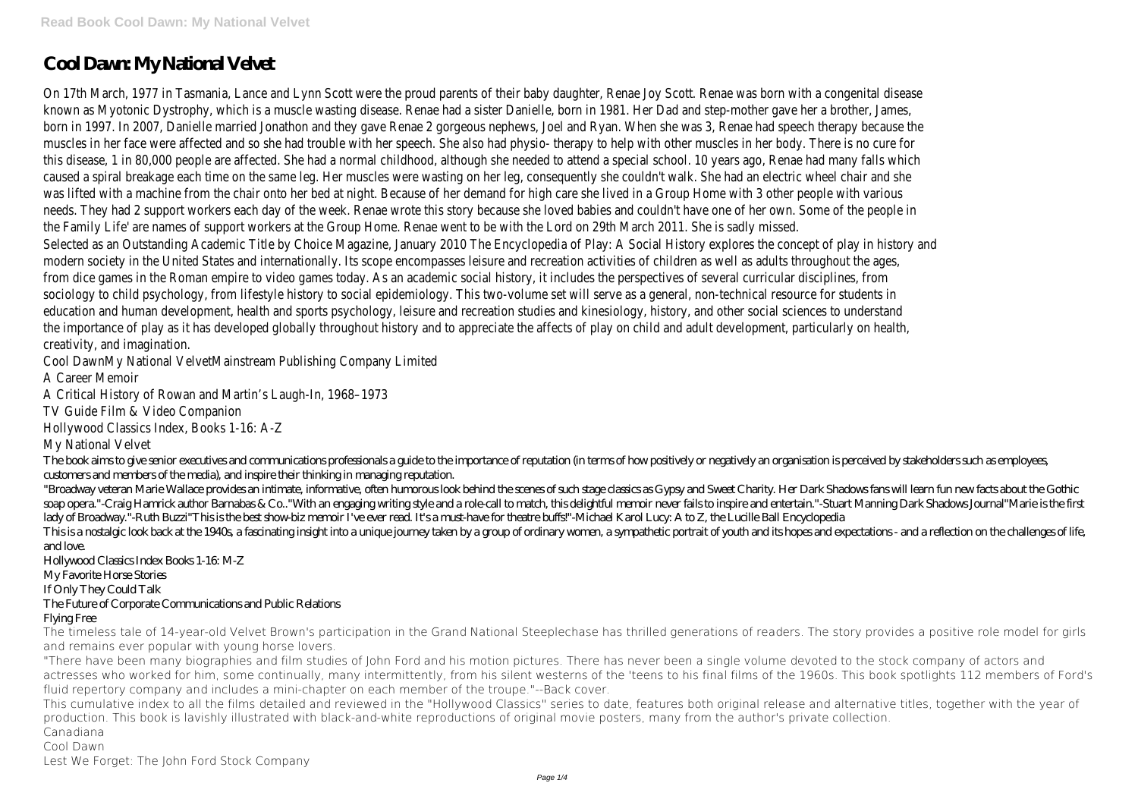# **Cool Dawn: My National Velvet**

On 17th March, 1977 in Tasmania, Lance and Lynn Scott were the proud parents of their baby daughter, Renae Joy Scott. Renae was born with a congenital disease known as Myotonic Dystrophy, which is a muscle wasting disease. Renae had a sister Danielle, born in 1981. Her Dad and step-mother gave her a brother, James, born in 1997. In 2007, Danielle married Jonathon and they gave Renae 2 gorgeous nephews, Joel and Ryan. When she was 3, Renae had speech therapy because the muscles in her face were affected and so she had trouble with her speech. She also had physio- therapy to help with other muscles in her body. There is no cure for this disease, 1 in 80,000 people are affected. She had a normal childhood, although she needed to attend a special school. 10 years ago, Renae had many falls which caused a spiral breakage each time on the same leg. Her muscles were wasting on her leg, consequently she couldn't walk. She had an electric wheel chair and she was lifted with a machine from the chair onto her bed at night. Because of her demand for high care she lived in a Group Home with 3 other people with various needs. They had 2 support workers each day of the week. Renae wrote this story because she loved babies and couldn't have one of her own. Some of the people in the Family Life' are names of support workers at the Group Home. Renae went to be with the Lord on 29th March 2011. She is sadly missed. Selected as an Outstanding Academic Title by Choice Magazine, January 2010 The Encyclopedia of Play: A Social History explores the concept of play in history and modern society in the United States and internationally. Its scope encompasses leisure and recreation activities of children as well as adults throughout the ages, from dice games in the Roman empire to video games today. As an academic social history, it includes the perspectives of several curricular disciplines, from sociology to child psychology, from lifestyle history to social epidemiology. This two-volume set will serve as a general, non-technical resource for students in education and human development, health and sports psychology, leisure and recreation studies and kinesiology, history, and other social sciences to understand the importance of play as it has developed globally throughout history and to appreciate the affects of play on child and adult development, particularly on health, creativity, and imagination.

Cool DawnMy National VelvetMainstream Publishing Company Limited

A Career Memoir

A Critical History of Rowan and Martin's Laugh-In, 1968–1973

TV Guide Film & Video Companion

Hollywood Classics Index, Books 1-16: A-Z

My National Velvet

The book aims to give senior executives and communications professionals a guide to the importance of reputation (in terms of how positively or negatively an organisation is perceived by stakeholders such as employees, customers and members of the media), and inspire their thinking in managing reputation.

"Broadway veteran Marie Wallace provides an intimate, informative, often humorous look behind the scenes of such stage classics as Gypsy and Sweet Charity. Her Dark Shadows fans will learn fun new facts about the Gothic soap opera."-Craig Hamrick author Barnabas & Co.."With an engaging writing style and a role-call to match, this delightful memoir never fails to inspire and entertain."-Stuart Manning Dark Shadows Journal"Marie is the first lady of Broadway."-Ruth Buzzi"This is the best show-biz memoir I've ever read. It's a must-have for theatre buffs!"-Michael Karol Lucy: A to Z, the Lucille Ball Encyclopedia This is a nostalgic look back at the 1940s, a fascinating insight into a unique journey taken by a group of ordinary women, a sympathetic portrait of youth and its hopes and expectations - and a reflection on the challenge and love.

Hollywood Classics Index Books 1-16: M-Z

My Favorite Horse Stories

If Only They Could Talk

### The Future of Corporate Communications and Public Relations

#### Flying Free

The timeless tale of 14-year-old Velvet Brown's participation in the Grand National Steeplechase has thrilled generations of readers. The story provides a positive role model for girls and remains ever popular with young horse lovers.

"There have been many biographies and film studies of John Ford and his motion pictures. There has never been a single volume devoted to the stock company of actors and actresses who worked for him, some continually, many intermittently, from his silent westerns of the 'teens to his final films of the 1960s. This book spotlights 112 members of Ford's fluid repertory company and includes a mini-chapter on each member of the troupe."--Back cover.

This cumulative index to all the films detailed and reviewed in the "Hollywood Classics" series to date, features both original release and alternative titles, together with the year of production. This book is lavishly illustrated with black-and-white reproductions of original movie posters, many from the author's private collection. Canadiana

Cool Dawn

Lest We Forget: The John Ford Stock Company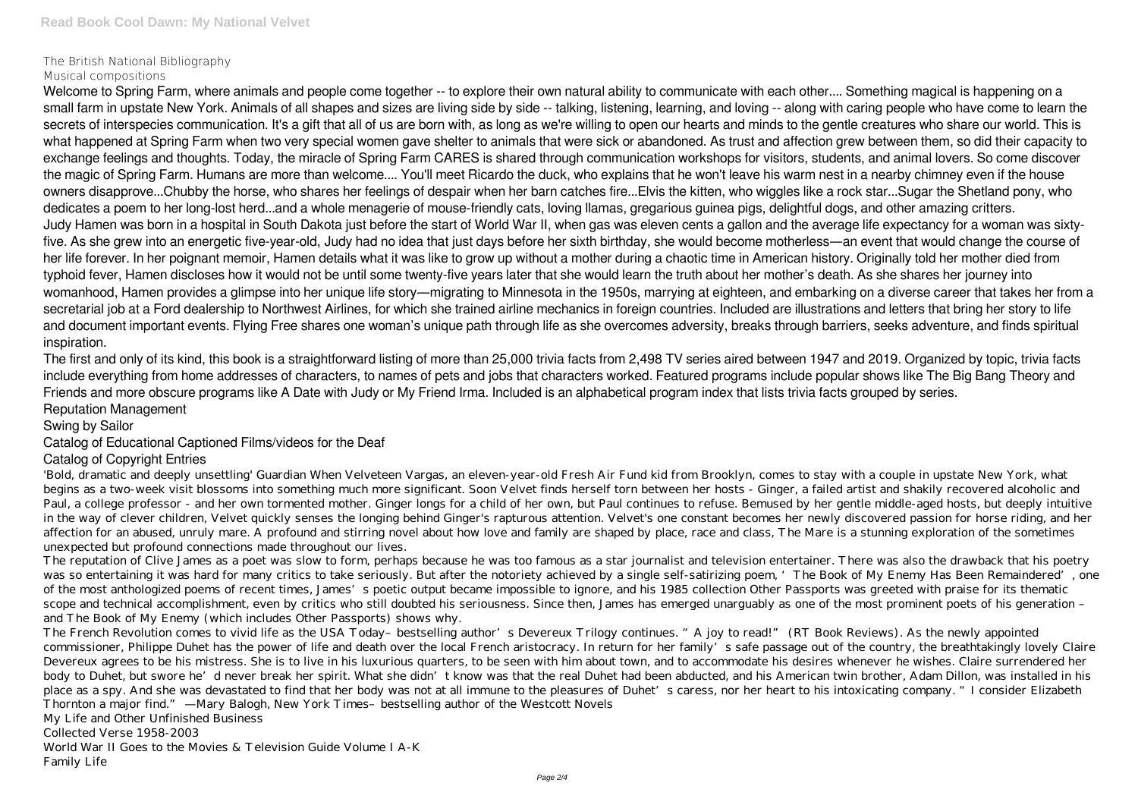## The British National Bibliography

#### Musical compositions

Welcome to Spring Farm, where animals and people come together -- to explore their own natural ability to communicate with each other.... Something magical is happening on a small farm in upstate New York. Animals of all shapes and sizes are living side by side -- talking, listening, learning, and loving -- along with caring people who have come to learn the secrets of interspecies communication. It's a gift that all of us are born with, as long as we're willing to open our hearts and minds to the gentle creatures who share our world. This is what happened at Spring Farm when two very special women gave shelter to animals that were sick or abandoned. As trust and affection grew between them, so did their capacity to exchange feelings and thoughts. Today, the miracle of Spring Farm CARES is shared through communication workshops for visitors, students, and animal lovers. So come discover the magic of Spring Farm. Humans are more than welcome.... You'll meet Ricardo the duck, who explains that he won't leave his warm nest in a nearby chimney even if the house owners disapprove...Chubby the horse, who shares her feelings of despair when her barn catches fire...Elvis the kitten, who wiggles like a rock star...Sugar the Shetland pony, who dedicates a poem to her long-lost herd...and a whole menagerie of mouse-friendly cats, loving llamas, gregarious guinea pigs, delightful dogs, and other amazing critters. Judy Hamen was born in a hospital in South Dakota just before the start of World War II, when gas was eleven cents a gallon and the average life expectancy for a woman was sixtyfive. As she grew into an energetic five-year-old, Judy had no idea that just days before her sixth birthday, she would become motherless—an event that would change the course of her life forever. In her poignant memoir, Hamen details what it was like to grow up without a mother during a chaotic time in American history. Originally told her mother died from typhoid fever, Hamen discloses how it would not be until some twenty-five years later that she would learn the truth about her mother's death. As she shares her journey into womanhood, Hamen provides a glimpse into her unique life story—migrating to Minnesota in the 1950s, marrying at eighteen, and embarking on a diverse career that takes her from a secretarial job at a Ford dealership to Northwest Airlines, for which she trained airline mechanics in foreign countries. Included are illustrations and letters that bring her story to life and document important events. Flying Free shares one woman's unique path through life as she overcomes adversity, breaks through barriers, seeks adventure, and finds spiritual inspiration.

The first and only of its kind, this book is a straightforward listing of more than 25,000 trivia facts from 2,498 TV series aired between 1947 and 2019. Organized by topic, trivia facts include everything from home addresses of characters, to names of pets and jobs that characters worked. Featured programs include popular shows like The Big Bang Theory and Friends and more obscure programs like A Date with Judy or My Friend Irma. Included is an alphabetical program index that lists trivia facts grouped by series. Reputation Management

The French Revolution comes to vivid life as the USA Today-bestselling author's Devereux Trilogy continues. "A joy to read!" (RT Book Reviews). As the newly appointed commissioner, Philippe Duhet has the power of life and death over the local French aristocracy. In return for her family's safe passage out of the country, the breathtakingly lovely Claire Devereux agrees to be his mistress. She is to live in his luxurious quarters, to be seen with him about town, and to accommodate his desires whenever he wishes. Claire surrendered her body to Duhet, but swore he'd never break her spirit. What she didn't know was that the real Duhet had been abducted, and his American twin brother, Adam Dillon, was installed in his place as a spy. And she was devastated to find that her body was not at all immune to the pleasures of Duhet's caress, nor her heart to his intoxicating company. "I consider Elizabeth Thornton a major find." —Mary Balogh, New York Times–bestselling author of the Westcott Novels

### Swing by Sailor

### Catalog of Educational Captioned Films/videos for the Deaf

### Catalog of Copyright Entries

'Bold, dramatic and deeply unsettling' Guardian When Velveteen Vargas, an eleven-year-old Fresh Air Fund kid from Brooklyn, comes to stay with a couple in upstate New York, what begins as a two-week visit blossoms into something much more significant. Soon Velvet finds herself torn between her hosts - Ginger, a failed artist and shakily recovered alcoholic and Paul, a college professor - and her own tormented mother. Ginger longs for a child of her own, but Paul continues to refuse. Bemused by her gentle middle-aged hosts, but deeply intuitive in the way of clever children, Velvet quickly senses the longing behind Ginger's rapturous attention. Velvet's one constant becomes her newly discovered passion for horse riding, and her affection for an abused, unruly mare. A profound and stirring novel about how love and family are shaped by place, race and class, The Mare is a stunning exploration of the sometimes unexpected but profound connections made throughout our lives.

The reputation of Clive James as a poet was slow to form, perhaps because he was too famous as a star journalist and television entertainer. There was also the drawback that his poetry was so entertaining it was hard for many critics to take seriously. But after the notoriety achieved by a single self-satirizing poem, 'The Book of My Enemy Has Been Remaindered', one of the most anthologized poems of recent times, James's poetic output became impossible to ignore, and his 1985 collection Other Passports was greeted with praise for its thematic scope and technical accomplishment, even by critics who still doubted his seriousness. Since then, James has emerged unarguably as one of the most prominent poets of his generation and The Book of My Enemy (which includes Other Passports) shows why.

My Life and Other Unfinished Business

Collected Verse 1958-2003

World War II Goes to the Movies & Television Guide Volume I A-K

Family Life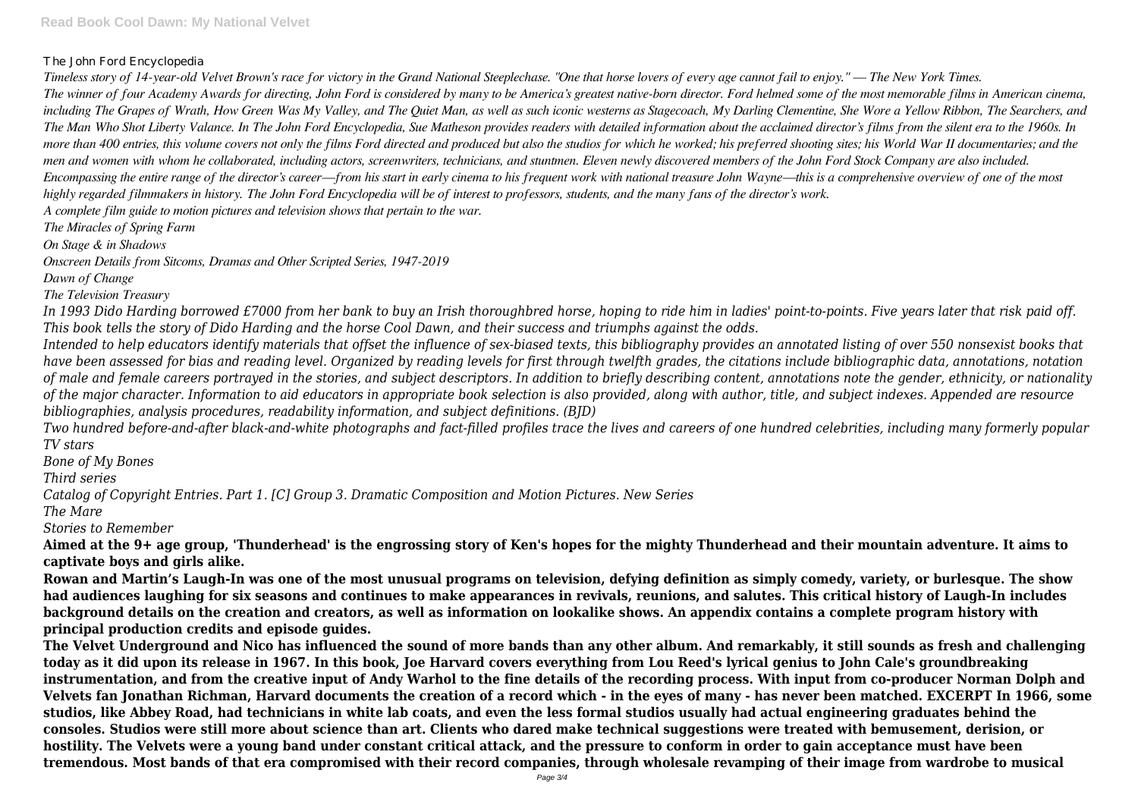### The John Ford Encyclopedia

*Timeless story of 14-year-old Velvet Brown's race for victory in the Grand National Steeplechase. "One that horse lovers of every age cannot fail to enjoy." — The New York Times. The winner of four Academy Awards for directing, John Ford is considered by many to be America's greatest native-born director. Ford helmed some of the most memorable films in American cinema, including The Grapes of Wrath, How Green Was My Valley, and The Quiet Man, as well as such iconic westerns as Stagecoach, My Darling Clementine, She Wore a Yellow Ribbon, The Searchers, and The Man Who Shot Liberty Valance. In The John Ford Encyclopedia, Sue Matheson provides readers with detailed information about the acclaimed director's films from the silent era to the 1960s. In more than 400 entries, this volume covers not only the films Ford directed and produced but also the studios for which he worked; his preferred shooting sites; his World War II documentaries; and the men and women with whom he collaborated, including actors, screenwriters, technicians, and stuntmen. Eleven newly discovered members of the John Ford Stock Company are also included. Encompassing the entire range of the director's career—from his start in early cinema to his frequent work with national treasure John Wayne—this is a comprehensive overview of one of the most highly regarded filmmakers in history. The John Ford Encyclopedia will be of interest to professors, students, and the many fans of the director's work. A complete film guide to motion pictures and television shows that pertain to the war.*

*The Miracles of Spring Farm*

*On Stage & in Shadows*

*Onscreen Details from Sitcoms, Dramas and Other Scripted Series, 1947-2019*

*Dawn of Change*

*The Television Treasury*

*In 1993 Dido Harding borrowed £7000 from her bank to buy an Irish thoroughbred horse, hoping to ride him in ladies' point-to-points. Five years later that risk paid off. This book tells the story of Dido Harding and the horse Cool Dawn, and their success and triumphs against the odds.*

*Intended to help educators identify materials that offset the influence of sex-biased texts, this bibliography provides an annotated listing of over 550 nonsexist books that have been assessed for bias and reading level. Organized by reading levels for first through twelfth grades, the citations include bibliographic data, annotations, notation of male and female careers portrayed in the stories, and subject descriptors. In addition to briefly describing content, annotations note the gender, ethnicity, or nationality of the major character. Information to aid educators in appropriate book selection is also provided, along with author, title, and subject indexes. Appended are resource bibliographies, analysis procedures, readability information, and subject definitions. (BJD)*

*Two hundred before-and-after black-and-white photographs and fact-filled profiles trace the lives and careers of one hundred celebrities, including many formerly popular TV stars*

*Bone of My Bones*

*Third series*

*Catalog of Copyright Entries. Part 1. [C] Group 3. Dramatic Composition and Motion Pictures. New Series*

*The Mare*

*Stories to Remember*

**Aimed at the 9+ age group, 'Thunderhead' is the engrossing story of Ken's hopes for the mighty Thunderhead and their mountain adventure. It aims to captivate boys and girls alike.**

**Rowan and Martin's Laugh-In was one of the most unusual programs on television, defying definition as simply comedy, variety, or burlesque. The show had audiences laughing for six seasons and continues to make appearances in revivals, reunions, and salutes. This critical history of Laugh-In includes background details on the creation and creators, as well as information on lookalike shows. An appendix contains a complete program history with principal production credits and episode guides.**

**The Velvet Underground and Nico has influenced the sound of more bands than any other album. And remarkably, it still sounds as fresh and challenging today as it did upon its release in 1967. In this book, Joe Harvard covers everything from Lou Reed's lyrical genius to John Cale's groundbreaking instrumentation, and from the creative input of Andy Warhol to the fine details of the recording process. With input from co-producer Norman Dolph and Velvets fan Jonathan Richman, Harvard documents the creation of a record which - in the eyes of many - has never been matched. EXCERPT In 1966, some studios, like Abbey Road, had technicians in white lab coats, and even the less formal studios usually had actual engineering graduates behind the consoles. Studios were still more about science than art. Clients who dared make technical suggestions were treated with bemusement, derision, or hostility. The Velvets were a young band under constant critical attack, and the pressure to conform in order to gain acceptance must have been tremendous. Most bands of that era compromised with their record companies, through wholesale revamping of their image from wardrobe to musical**